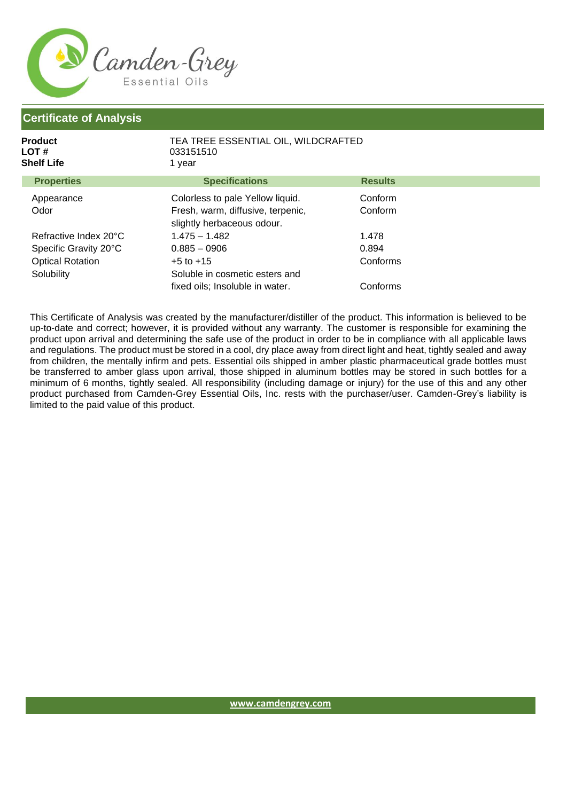

## **Certificate of Analysis**

| <b>Product</b><br>LOT #<br><b>Shelf Life</b> | TEA TREE ESSENTIAL OIL, WILDCRAFTED<br>033151510<br>1 year      |                |  |
|----------------------------------------------|-----------------------------------------------------------------|----------------|--|
| <b>Properties</b>                            | <b>Specifications</b>                                           | <b>Results</b> |  |
| Appearance                                   | Colorless to pale Yellow liquid.                                | Conform        |  |
| Odor                                         | Fresh, warm, diffusive, terpenic,<br>slightly herbaceous odour. | Conform        |  |
| Refractive Index 20°C                        | $1.475 - 1.482$                                                 | 1.478          |  |
| Specific Gravity 20°C                        | $0.885 - 0906$                                                  | 0.894          |  |
| <b>Optical Rotation</b>                      | $+5$ to $+15$                                                   | Conforms       |  |
| Solubility                                   | Soluble in cosmetic esters and                                  |                |  |
|                                              | fixed oils; Insoluble in water.                                 | Conforms       |  |

This Certificate of Analysis was created by the manufacturer/distiller of the product. This information is believed to be up-to-date and correct; however, it is provided without any warranty. The customer is responsible for examining the product upon arrival and determining the safe use of the product in order to be in compliance with all applicable laws and regulations. The product must be stored in a cool, dry place away from direct light and heat, tightly sealed and away from children, the mentally infirm and pets. Essential oils shipped in amber plastic pharmaceutical grade bottles must be transferred to amber glass upon arrival, those shipped in aluminum bottles may be stored in such bottles for a minimum of 6 months, tightly sealed. All responsibility (including damage or injury) for the use of this and any other product purchased from Camden-Grey Essential Oils, Inc. rests with the purchaser/user. Camden-Grey's liability is limited to the paid value of this product.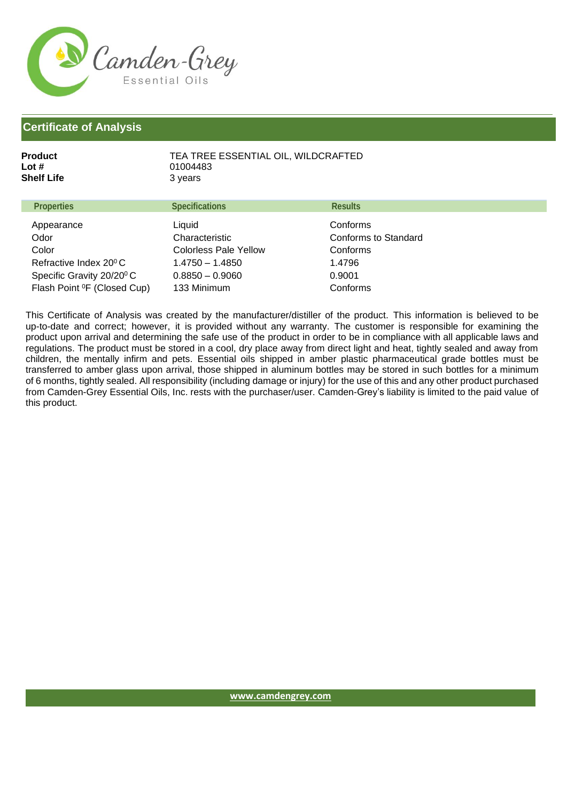

## **Certificate of Analysis**

| Product<br>Lot #<br><b>Shelf Life</b> | 01004483<br>3 years      | TEA TREE ESSENTIAL OIL, WILDCRAFTED     |  |
|---------------------------------------|--------------------------|-----------------------------------------|--|
| <b>Properties</b>                     | <b>Specifications</b>    | <b>Results</b>                          |  |
| Appearance<br>Odor                    | Liquid<br>Characteristic | Conforms<br><b>Conforms to Standard</b> |  |

| Odor                                    | Characteristic               | Conforms to Star |
|-----------------------------------------|------------------------------|------------------|
| Color                                   | <b>Colorless Pale Yellow</b> | Conforms         |
| Refractive Index 20º C $\,$             | 1 4750 - 1 4850              | 1.4796           |
| Specific Gravity 20/20 <sup>0</sup> C   | $0.8850 - 0.9060$            | 0.9001           |
| Flash Point <sup>o</sup> F (Closed Cup) | 133 Minimum                  | Conforms         |

This Certificate of Analysis was created by the manufacturer/distiller of the product. This information is believed to be up-to-date and correct; however, it is provided without any warranty. The customer is responsible for examining the product upon arrival and determining the safe use of the product in order to be in compliance with all applicable laws and regulations. The product must be stored in a cool, dry place away from direct light and heat, tightly sealed and away from children, the mentally infirm and pets. Essential oils shipped in amber plastic pharmaceutical grade bottles must be transferred to amber glass upon arrival, those shipped in aluminum bottles may be stored in such bottles for a minimum of 6 months, tightly sealed. All responsibility (including damage or injury) for the use of this and any other product purchased from Camden-Grey Essential Oils, Inc. rests with the purchaser/user. Camden-Grey's liability is limited to the paid value of this product.